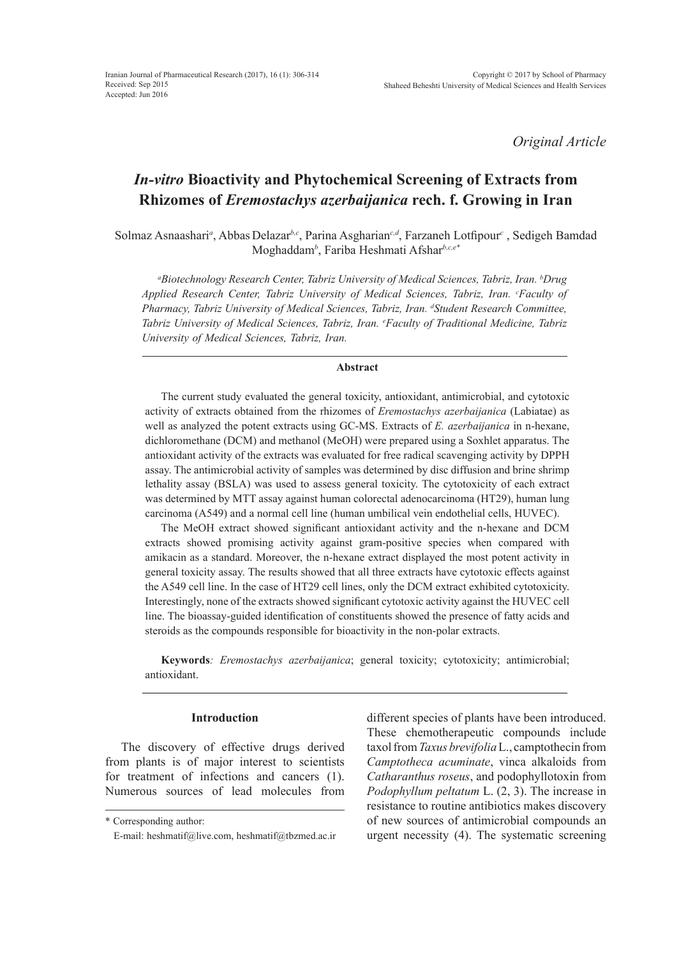*Original Article*

# *In-vitro* **Bioactivity and Phytochemical Screening of Extracts from Rhizomes of** *Eremostachys azerbaijanica* **rech. f. Growing in Iran**

Solmaz Asnaashari<sup>a</sup>, Abbas Delazar<sup>b,c</sup>, Parina Asgharian<sup>c,d</sup>, Farzaneh Lotfipour<sup>c</sup>, Sedigeh Bamdad Moghaddam*<sup>b</sup>* , Fariba Heshmati Afshar*b,c,e\**

*a Biotechnology Research Center, Tabriz University of Medical Sciences, Tabriz, Iran. b Drug*  Applied Research Center, Tabriz University of Medical Sciences, Tabriz, Iran. *°Faculty of* Pharmacy, Tabriz University of Medical Sciences, Tabriz, Iran. <sup>d</sup>Student Research Committee, *Tabriz University of Medical Sciences, Tabriz, Iran. e Faculty of Traditional Medicine, Tabriz University of Medical Sciences, Tabriz, Iran.*

# **Abstract**

The current study evaluated the general toxicity, antioxidant, antimicrobial, and cytotoxic activity of extracts obtained from the rhizomes of *Eremostachys azerbaijanica* (Labiatae) as well as analyzed the potent extracts using GC-MS. Extracts of *E. azerbaijanica* in n-hexane, dichloromethane (DCM) and methanol (MeOH) were prepared using a Soxhlet apparatus. The antioxidant activity of the extracts was evaluated for free radical scavenging activity by DPPH assay. The antimicrobial activity of samples was determined by disc diffusion and brine shrimp lethality assay (BSLA) was used to assess general toxicity. The cytotoxicity of each extract was determined by MTT assay against human colorectal adenocarcinoma (HT29), human lung carcinoma (A549) and a normal cell line (human umbilical vein endothelial cells, HUVEC).

The MeOH extract showed significant antioxidant activity and the n-hexane and DCM extracts showed promising activity against gram-positive species when compared with amikacin as a standard. Moreover, the n-hexane extract displayed the most potent activity in general toxicity assay. The results showed that all three extracts have cytotoxic effects against the A549 cell line. In the case of HT29 cell lines, only the DCM extract exhibited cytotoxicity. Interestingly, none of the extracts showed significant cytotoxic activity against the HUVEC cell line. The bioassay-guided identification of constituents showed the presence of fatty acids and steroids as the compounds responsible for bioactivity in the non-polar extracts.

**Keywords***: Eremostachys azerbaijanica*; general toxicity; cytotoxicity; antimicrobial; antioxidant.

# **Introduction**

The discovery of effective drugs derived from plants is of major interest to scientists for treatment of infections and cancers (1). Numerous sources of lead molecules from

different species of plants have been introduced. These chemotherapeutic compounds include taxol from *Taxus brevifolia* L., camptothecin from *Camptotheca acuminate*, vinca alkaloids from *Catharanthus roseus*, and podophyllotoxin from *Podophyllum peltatum* L. (2, 3). The increase in resistance to routine antibiotics makes discovery of new sources of antimicrobial compounds an urgent necessity (4). The systematic screening

<sup>\*</sup> Corresponding author:

E-mail: heshmatif@live.com, heshmatif@tbzmed.ac.ir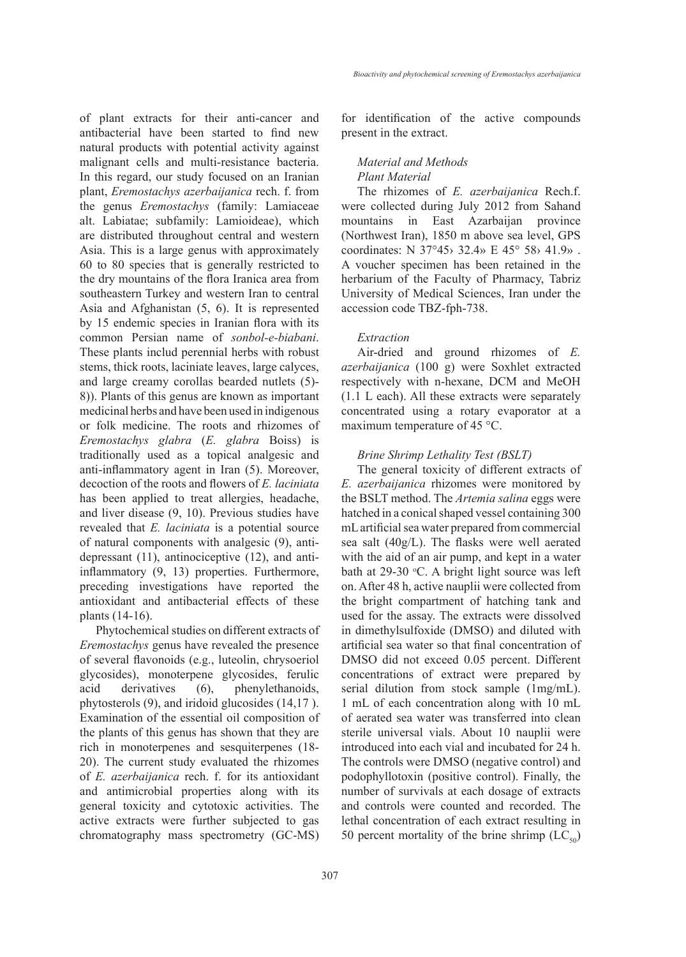of plant extracts for their anti-cancer and antibacterial have been started to find new natural products with potential activity against malignant cells and multi-resistance bacteria. In this regard, our study focused on an Iranian plant, *Eremostachys azerbaijanica* rech. f. from the genus *Eremostachys* (family: Lamiaceae alt. Labiatae; subfamily: Lamioideae), which are distributed throughout central and western Asia. This is a large genus with approximately 60 to 80 species that is generally restricted to the dry mountains of the flora Iranica area from southeastern Turkey and western Iran to central Asia and Afghanistan (5, 6). It is represented by 15 endemic species in Iranian flora with its common Persian name of *sonbol-e-biabani*. These plants includ perennial herbs with robust stems, thick roots, laciniate leaves, large calyces, and large creamy corollas bearded nutlets (5)- 8(). Plants of this genus are known as important medicinal herbs and have been used in indigenous or folk medicine. The roots and rhizomes of *Eremostachys glabra* (*E. glabra* Boiss) is traditionally used as a topical analgesic and anti-inflammatory agent in Iran (5). Moreover, decoction of the roots and flowers of *E. laciniata*  has been applied to treat allergies, headache, and liver disease (9, 10). Previous studies have revealed that *E. laciniata* is a potential source of natural components with analgesic (9), antidepressant (11), antinociceptive (12), and antiinflammatory (9, 13) properties. Furthermore, preceding investigations have reported the antioxidant and antibacterial effects of these plants (14-16).

Phytochemical studies on different extracts of *Eremostachys* genus have revealed the presence of several flavonoids (e.g., luteolin, chrysoeriol glycosides), monoterpene glycosides, ferulic acid derivatives (6), phenylethanoids, phytosterols (9), and iridoid glucosides (14,17 ). Examination of the essential oil composition of the plants of this genus has shown that they are rich in monoterpenes and sesquiterpenes (18- 20). The current study evaluated the rhizomes of *E. azerbaijanica* rech. f. for its antioxidant and antimicrobial properties along with its general toxicity and cytotoxic activities. The active extracts were further subjected to gas chromatography mass spectrometry (GC-MS) for identification of the active compounds present in the extract.

# *Material and Methods Plant Material*

The rhizomes of *E. azerbaijanica* Rech.f. were collected during July 2012 from Sahand mountains in East Azarbaijan province (Northwest Iran), 1850 m above sea level, GPS coordinates: N 37°45› 32.4» E 45° 58› 41.9» . A voucher specimen has been retained in the herbarium of the Faculty of Pharmacy, Tabriz University of Medical Sciences, Iran under the accession code TBZ-fph-738.

### *Extraction*

Air-dried and ground rhizomes of *E. azerbaijanica* (100 g) were Soxhlet extracted respectively with n-hexane, DCM and MeOH (1.1 L each). All these extracts were separately concentrated using a rotary evaporator at a maximum temperature of 45 °C.

## *Brine Shrimp Lethality Test (BSLT)*

The general toxicity of different extracts of *E. azerbaijanica* rhizomes were monitored by the BSLT method. The *Artemia salina* eggs were hatched in a conical shaped vessel containing 300 mL artificial sea water prepared from commercial sea salt (40g/L). The flasks were well aerated with the aid of an air pump, and kept in a water bath at 29-30 °C. A bright light source was left on. After 48 h, active nauplii were collected from the bright compartment of hatching tank and used for the assay. The extracts were dissolved in dimethylsulfoxide (DMSO) and diluted with artificial sea water so that final concentration of DMSO did not exceed 0.05 percent. Different concentrations of extract were prepared by serial dilution from stock sample (1mg/mL). 1 mL of each concentration along with 10 mL of aerated sea water was transferred into clean sterile universal vials. About 10 nauplii were introduced into each vial and incubated for 24 h. The controls were DMSO (negative control) and podophyllotoxin (positive control). Finally, the number of survivals at each dosage of extracts and controls were counted and recorded. The lethal concentration of each extract resulting in 50 percent mortality of the brine shrimp  $(LC_{50})$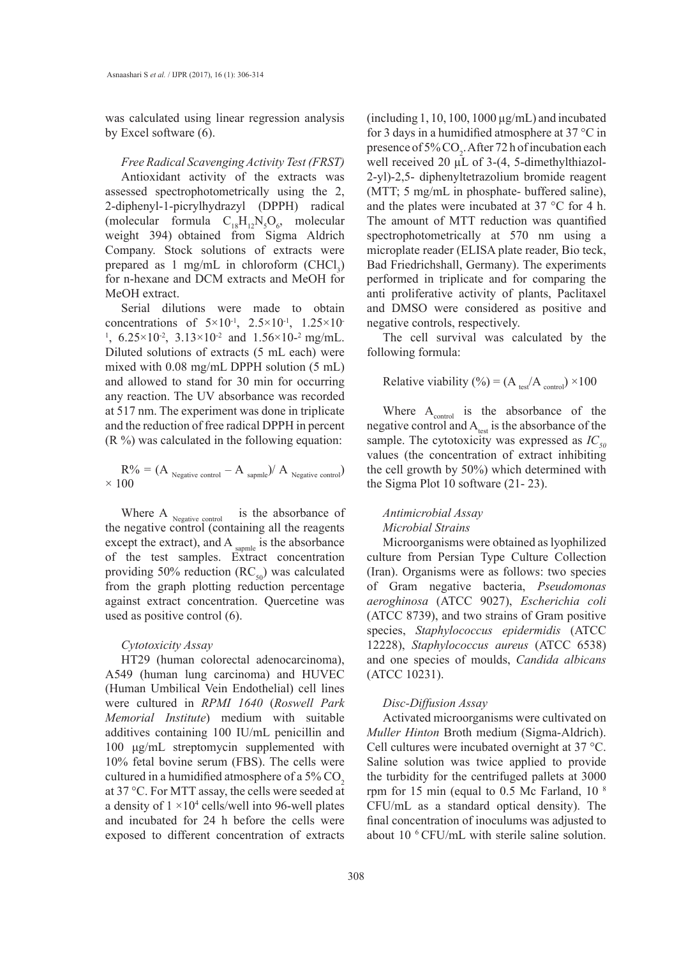was calculated using linear regression analysis by Excel software (6).

*Free Radical Scavenging Activity Test (FRST)* Antioxidant activity of the extracts was assessed spectrophotometrically using the 2, 2-diphenyl-1-picrylhydrazyl (DPPH) radical (molecular formula  $C_{18}H_{12}N_5O_6$ , molecular weight 394) obtained from Sigma Aldrich Company. Stock solutions of extracts were prepared as 1 mg/mL in chloroform  $(CHCl<sub>3</sub>)$ for n-hexane and DCM extracts and MeOH for MeOH extract.

Serial dilutions were made to obtain concentrations of  $5 \times 10^{-1}$ ,  $2.5 \times 10^{-1}$ ,  $1.25 \times 10^{-1}$ <sup>1</sup>,  $6.25 \times 10^{-2}$ ,  $3.13 \times 10^{-2}$  and  $1.56 \times 10^{-2}$  mg/mL. Diluted solutions of extracts (5 mL each) were mixed with 0.08 mg/mL DPPH solution (5 mL) and allowed to stand for 30 min for occurring any reaction. The UV absorbance was recorded at 517 nm. The experiment was done in triplicate and the reduction of free radical DPPH in percent  $(R \%)$  was calculated in the following equation:

$$
R\% = (A_{\text{Negative control}} - A_{\text{sample}})/A_{\text{Negative control}})
$$
  
× 100

Where A  $_{Negative\ control}$  is the absorbance of the negative control (containing all the reagents except the extract), and A  $_{\text{sample}}$  is the absorbance of the test samples. Extract concentration providing 50% reduction ( $RC_{50}$ ) was calculated from the graph plotting reduction percentage against extract concentration. Quercetine was used as positive control (6).

#### *Cytotoxicity Assay*

HT29 (human colorectal adenocarcinoma), A549 (human lung carcinoma) and HUVEC (Human Umbilical Vein Endothelial) cell lines were cultured in *RPMI 1640* (*Roswell Park Memorial Institute*) medium with suitable additives containing 100 IU/mL penicillin and 100 μg/mL streptomycin supplemented with 10% fetal bovine serum (FBS). The cells were cultured in a humidified atmosphere of a  $5\%$  CO<sub>2</sub> at 37 °C. For MTT assay, the cells were seeded at a density of  $1 \times 10^4$  cells/well into 96-well plates and incubated for 24 h before the cells were exposed to different concentration of extracts

(including 1, 10, 100, 1000  $\mu$ g/mL) and incubated for 3 days in a humidified atmosphere at 37 °C in presence of 5%  $CO_2$ . After 72 h of incubation each well received 20 µL of 3-(4, 5-dimethylthiazol-2-yl)-2,5- diphenyltetrazolium bromide reagent (MTT; 5 mg/mL in phosphate- buffered saline), and the plates were incubated at 37 °C for 4 h. The amount of MTT reduction was quantified spectrophotometrically at 570 nm using a microplate reader (ELISA plate reader, Bio teck, Bad Friedrichshall, Germany). The experiments performed in triplicate and for comparing the anti proliferative activity of plants, Paclitaxel and DMSO were considered as positive and negative controls, respectively.

The cell survival was calculated by the following formula:

# Relative viability (%) =  $(A_{test}/A_{control}) \times 100$

Where  $A_{control}$  is the absorbance of the negative control and  $A<sub>test</sub>$  is the absorbance of the sample. The cytotoxicity was expressed as  $IC_{50}$ values (the concentration of extract inhibiting the cell growth by 50%) which determined with the Sigma Plot 10 software (21- 23).

## *Antimicrobial Assay Microbial Strains*

Microorganisms were obtained as lyophilized culture from Persian Type Culture Collection (Iran). Organisms were as follows: two species of Gram negative bacteria, *Pseudomonas aeroghinosa* (ATCC 9027), *Escherichia coli* (ATCC 8739), and two strains of Gram positive species, *Staphylococcus epidermidis* (ATCC 12228), *Staphylococcus aureus* (ATCC 6538) and one species of moulds, *Candida albicans* (ATCC 10231).

#### *Disc-Diffusion Assay*

Activated microorganisms were cultivated on *Muller Hinton* Broth medium (Sigma-Aldrich). Cell cultures were incubated overnight at 37 °C. Saline solution was twice applied to provide the turbidity for the centrifuged pallets at 3000 rpm for 15 min (equal to 0.5 Mc Farland, 10 8 CFU/mL as a standard optical density). The final concentration of inoculums was adjusted to about 10 6 CFU/mL with sterile saline solution.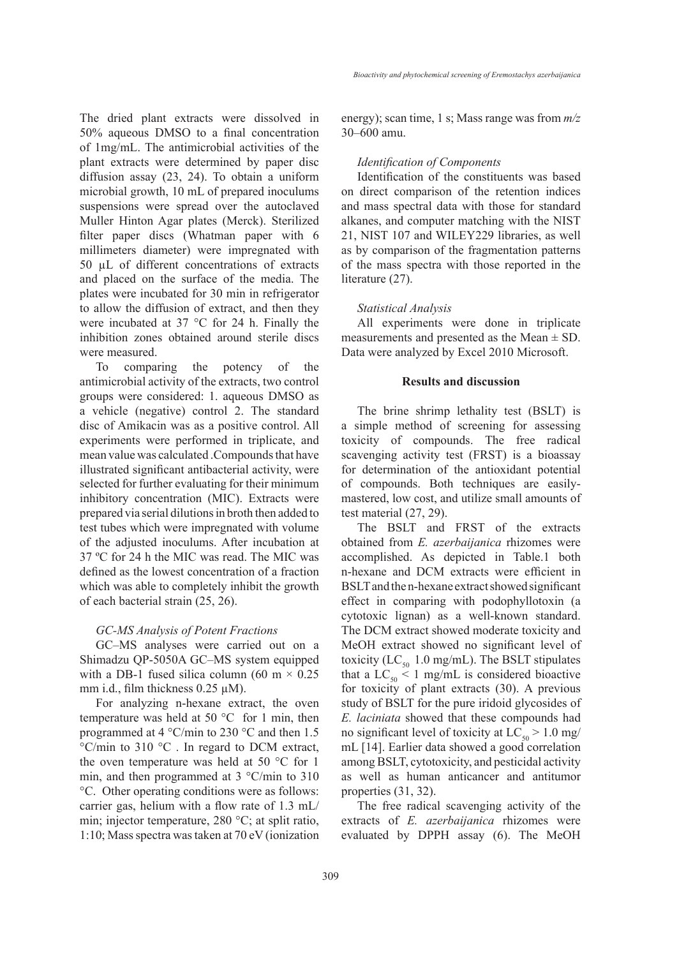The dried plant extracts were dissolved in 50% aqueous DMSO to a final concentration of 1mg/mL. The antimicrobial activities of the plant extracts were determined by paper disc diffusion assay (23, 24). To obtain a uniform microbial growth, 10 mL of prepared inoculums suspensions were spread over the autoclaved Muller Hinton Agar plates (Merck). Sterilized filter paper discs (Whatman paper with 6 millimeters diameter) were impregnated with 50 µL of different concentrations of extracts and placed on the surface of the media. The plates were incubated for 30 min in refrigerator to allow the diffusion of extract, and then they were incubated at 37 °C for 24 h. Finally the inhibition zones obtained around sterile discs were measured.

To comparing the potency of the antimicrobial activity of the extracts, two control groups were considered: 1. aqueous DMSO as a vehicle (negative) control 2. The standard disc of Amikacin was as a positive control. All experiments were performed in triplicate, and mean value was calculated .Compounds that have illustrated significant antibacterial activity, were selected for further evaluating for their minimum inhibitory concentration (MIC). Extracts were prepared via serial dilutions in broth then added to test tubes which were impregnated with volume of the adjusted inoculums. After incubation at 37 ºC for 24 h the MIC was read. The MIC was defined as the lowest concentration of a fraction which was able to completely inhibit the growth of each bacterial strain (25, 26).

### *GC-MS Analysis of Potent Fractions*

GC–MS analyses were carried out on a Shimadzu QP-5050A GC–MS system equipped with a DB-1 fused silica column (60 m  $\times$  0.25 mm i.d., film thickness  $0.25 \mu M$ ).

For analyzing n-hexane extract, the oven temperature was held at 50 °C for 1 min, then programmed at 4 °C/min to 230 °C and then 1.5 °C/min to 310 °C . In regard to DCM extract, the oven temperature was held at 50 °C for 1 min, and then programmed at  $3 \degree C / \text{min}$  to  $310 \degree C / \text{min}$ °C. Other operating conditions were as follows: carrier gas, helium with a flow rate of 1.3 mL/ min; injector temperature, 280 °C; at split ratio, 1:10; Mass spectra was taken at 70 eV (ionization energy); scan time, 1 s; Mass range was from *m/z* 30–600 amu.

#### *Identification of Components*

Identification of the constituents was based on direct comparison of the retention indices and mass spectral data with those for standard alkanes, and computer matching with the NIST 21, NIST 107 and WILEY229 libraries, as well as by comparison of the fragmentation patterns of the mass spectra with those reported in the literature (27).

#### *Statistical Analysis*

All experiments were done in triplicate measurements and presented as the Mean  $\pm$  SD. Data were analyzed by Excel 2010 Microsoft.

#### **Results and discussion**

The brine shrimp lethality test (BSLT) is a simple method of screening for assessing toxicity of compounds. The free radical scavenging activity test (FRST) is a bioassay for determination of the antioxidant potential of compounds. Both techniques are easilymastered, low cost, and utilize small amounts of test material (27, 29).

The BSLT and FRST of the extracts obtained from *E. azerbaijanica* rhizomes were accomplished. As depicted in Table.1 both n-hexane and DCM extracts were efficient in BSLT and the n-hexane extract showed significant effect in comparing with podophyllotoxin (a cytotoxic lignan) as a well-known standard. The DCM extract showed moderate toxicity and MeOH extract showed no significant level of toxicity (LC $_{50}$  1.0 mg/mL). The BSLT stipulates that a  $LC_{50} \le 1$  mg/mL is considered bioactive for toxicity of plant extracts (30). A previous study of BSLT for the pure iridoid glycosides of *E. laciniata* showed that these compounds had no significant level of toxicity at  $LC_{50}$  > 1.0 mg/ mL [14]. Earlier data showed a good correlation among BSLT, cytotoxicity, and pesticidal activity as well as human anticancer and antitumor properties (31, 32).

The free radical scavenging activity of the extracts of *E. azerbaijanica* rhizomes were evaluated by DPPH assay (6). The MeOH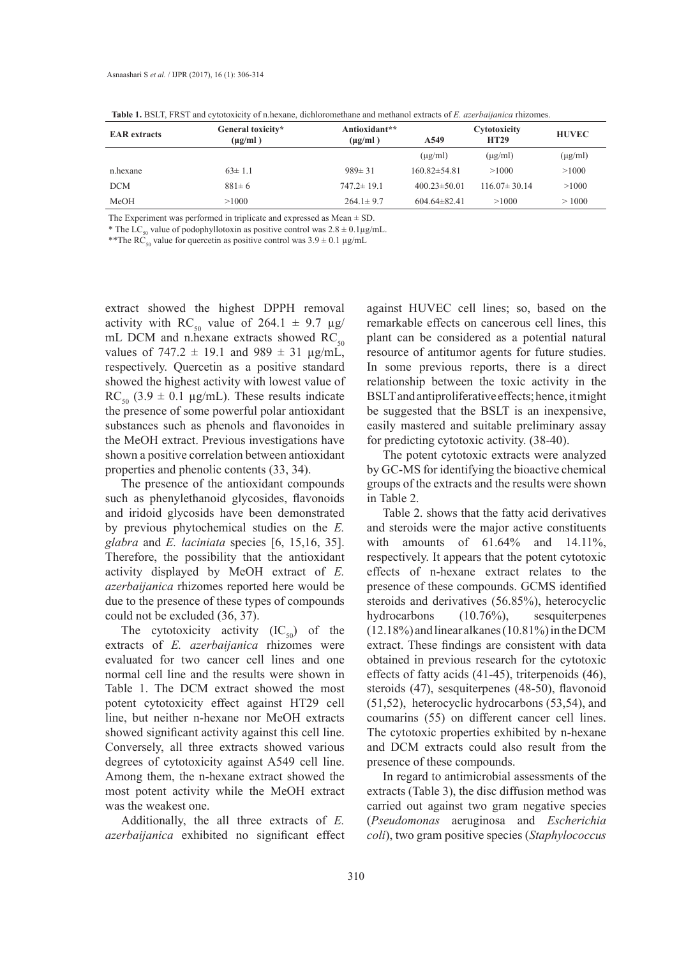| <b>EAR</b> extracts | General toxicity*<br>$(\mu g/ml)$ | Antioxidant**<br>$(\mu g/ml)$ | A549               | Cytotoxicity<br><b>HT29</b> | <b>HUVEC</b> |
|---------------------|-----------------------------------|-------------------------------|--------------------|-----------------------------|--------------|
|                     |                                   |                               | $(\mu g/ml)$       | $(\mu$ g/ml)                | $(\mu g/ml)$ |
| n.hexane            | $63 \pm 1.1$                      | $989 \pm 31$                  | $160.82 \pm 54.81$ | >1000                       | >1000        |
| <b>DCM</b>          | $881 \pm 6$                       | $747.2 \pm 19.1$              | $400.23 \pm 50.01$ | $116.07 \pm 30.14$          | >1000        |
| MeOH                | >1000                             | $264.1 \pm 9.7$               | $604.64 \pm 82.41$ | >1000                       | >1000        |

**Table 1.** BSLT, FRST and cytotoxicity of n.hexane, dichloromethane and methanol extracts of *E. azerbaijanica* rhizomes.

The Experiment was performed in triplicate and expressed as  $Mean \pm SD$ .

\* The LC<sub>50</sub> value of podophyllotoxin as positive control was  $2.8 \pm 0.1 \mu$ g/mL.

\*\*The RC<sub>50</sub> value for quercetin as positive control was  $3.9 \pm 0.1 \,\mu g/mL$ 

extract showed the highest DPPH removal activity with RC<sub>50</sub> value of 264.1  $\pm$  9.7  $\mu$ g/ mL DCM and n.hexane extracts showed  $RC_{50}$ values of 747.2  $\pm$  19.1 and 989  $\pm$  31  $\mu$ g/mL, respectively. Quercetin as a positive standard showed the highest activity with lowest value of RC<sub>50</sub> (3.9  $\pm$  0.1 µg/mL). These results indicate the presence of some powerful polar antioxidant substances such as phenols and flavonoides in the MeOH extract. Previous investigations have shown a positive correlation between antioxidant properties and phenolic contents (33, 34).

The presence of the antioxidant compounds such as phenylethanoid glycosides, flavonoids and iridoid glycosids have been demonstrated by previous phytochemical studies on the *E. glabra* and *E. laciniata* species [6, 15,16, 35]. Therefore, the possibility that the antioxidant activity displayed by MeOH extract of *E. azerbaijanica* rhizomes reported here would be due to the presence of these types of compounds could not be excluded (36, 37).

The cytotoxicity activity  $(IC_{50})$  of the extracts of *E. azerbaijanica* rhizomes were evaluated for two cancer cell lines and one normal cell line and the results were shown in Table 1. The DCM extract showed the most potent cytotoxicity effect against HT29 cell line, but neither n-hexane nor MeOH extracts showed significant activity against this cell line. Conversely, all three extracts showed various degrees of cytotoxicity against A549 cell line. Among them, the n-hexane extract showed the most potent activity while the MeOH extract was the weakest one.

Additionally, the all three extracts of *E. azerbaijanica* exhibited no significant effect against HUVEC cell lines; so, based on the remarkable effects on cancerous cell lines, this plant can be considered as a potential natural resource of antitumor agents for future studies. In some previous reports, there is a direct relationship between the toxic activity in the BSLT and antiproliferative effects; hence, it might be suggested that the BSLT is an inexpensive, easily mastered and suitable preliminary assay for predicting cytotoxic activity. (38-40).

The potent cytotoxic extracts were analyzed by GC-MS for identifying the bioactive chemical groups of the extracts and the results were shown in Table 2.

Table 2. shows that the fatty acid derivatives and steroids were the major active constituents with amounts of 61.64% and 14.11%, respectively. It appears that the potent cytotoxic effects of n-hexane extract relates to the presence of these compounds. GCMS identified steroids and derivatives (56.85%), heterocyclic hydrocarbons (10.76%), sesquiterpenes (12.18%) and linear alkanes (10.81%) in the DCM extract. These findings are consistent with data obtained in previous research for the cytotoxic effects of fatty acids (41-45), triterpenoids (46), steroids (47), sesquiterpenes (48-50), flavonoid (51,52), heterocyclic hydrocarbons (53,54), and coumarins (55) on different cancer cell lines. The cytotoxic properties exhibited by n-hexane and DCM extracts could also result from the presence of these compounds.

In regard to antimicrobial assessments of the extracts (Table 3), the disc diffusion method was carried out against two gram negative species (*Pseudomonas* aeruginosa and *Escherichia coli*), two gram positive species (*Staphylococcus*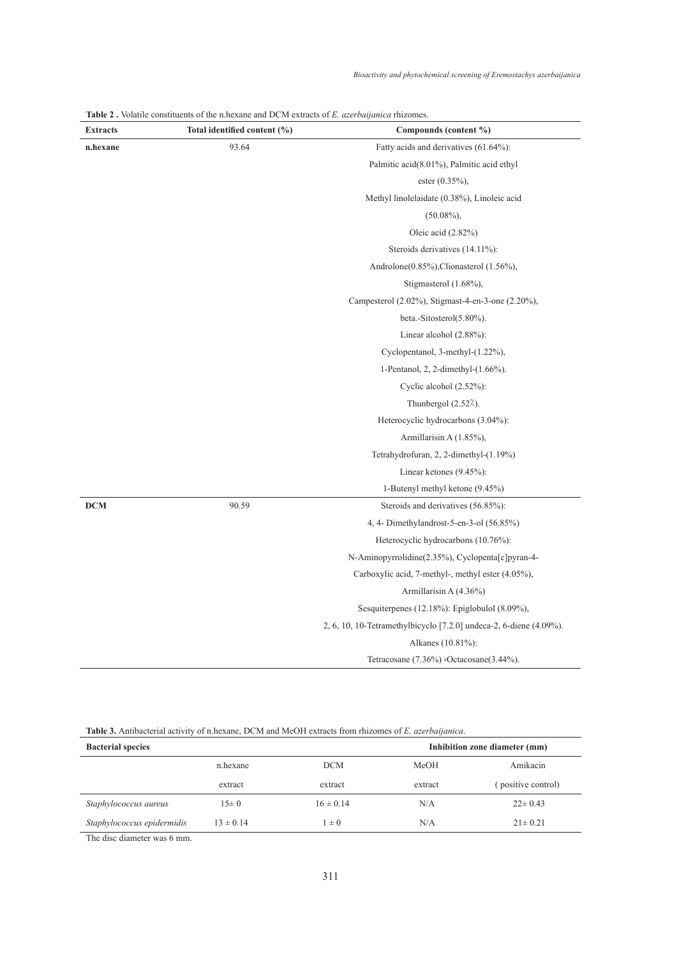| <b>Extracts</b> | Total identified content (%) | Compounds (content %)                                                                                    |  |
|-----------------|------------------------------|----------------------------------------------------------------------------------------------------------|--|
| n.hexane        | 93.64                        | Fatty acids and derivatives (61.64%):<br>Palmitic acid(8.01%), Palmitic acid ethyl<br>ester $(0.35\%)$ , |  |
|                 |                              |                                                                                                          |  |
|                 |                              |                                                                                                          |  |
|                 |                              | Methyl linolelaidate (0.38%), Linoleic acid                                                              |  |
|                 |                              | $(50.08\%)$ ,                                                                                            |  |
|                 |                              | Oleic acid $(2.82\%)$                                                                                    |  |
|                 |                              | Steroids derivatives (14.11%):                                                                           |  |
|                 |                              | Androlone(0.85%), Clionasterol (1.56%),                                                                  |  |
|                 |                              | Stigmasterol (1.68%),                                                                                    |  |
|                 |                              | Campesterol (2.02%), Stigmast-4-en-3-one (2.20%),                                                        |  |
|                 |                              | beta.-Sitosterol(5.80%).                                                                                 |  |
|                 |                              | Linear alcohol $(2.88\%)$ :                                                                              |  |
|                 |                              | Cyclopentanol, 3-methyl-(1.22%),                                                                         |  |
|                 |                              | 1-Pentanol, 2, 2-dimethyl- $(1.66\%)$ .                                                                  |  |
|                 |                              | Cyclic alcohol (2.52%):                                                                                  |  |
|                 |                              | Thunbergol $(2.522)$ .                                                                                   |  |
|                 |                              | Heterocyclic hydrocarbons (3.04%):                                                                       |  |
|                 |                              | Armillarisin A (1.85%),                                                                                  |  |
|                 |                              | Tetrahydrofuran, 2, 2-dimethyl-(1.19%)                                                                   |  |
|                 |                              | Linear ketones (9.45%):                                                                                  |  |
|                 |                              | 1-Butenyl methyl ketone (9.45%)                                                                          |  |
| <b>DCM</b>      | 90.59                        | Steroids and derivatives (56.85%):                                                                       |  |
|                 |                              | 4, 4- Dimethylandrost-5-en-3-ol (56.85%)                                                                 |  |
|                 |                              | Heterocyclic hydrocarbons (10.76%):                                                                      |  |
|                 |                              | N-Aminopyrrolidine(2.35%), Cyclopenta[c]pyran-4-                                                         |  |
|                 |                              | Carboxylic acid, 7-methyl-, methyl ester (4.05%),                                                        |  |
|                 |                              | Armillarisin A (4.36%)                                                                                   |  |
|                 |                              | Sesquiterpenes $(12.18\%)$ : Epiglobulol $(8.09\%)$ ,                                                    |  |
|                 |                              | 2, 6, 10, 10-Tetramethylbicyclo [7.2.0] undeca-2, 6-diene (4.09%).                                       |  |
|                 |                              | Alkanes (10.81%):                                                                                        |  |
|                 |                              | Tetracosane (7.36%) (Octacosane(3.44%).                                                                  |  |

**Table 2 .** Volatile constituents of the n.hexane and DCM extracts of *E. azerbaijanica* rhizomes.

**Table 3.** Antibacterial activity of n.hexane, DCM and MeOH extracts from rhizomes of *E. azerbaijanica*.

| <b>Bacterial species</b>   |               | Inhibition zone diameter (mm) |         |                    |
|----------------------------|---------------|-------------------------------|---------|--------------------|
|                            | n.hexane      | <b>DCM</b>                    | MeOH    | Amikacin           |
|                            | extract       | extract                       | extract | (positive control) |
| Staphylococcus aureus      | $15\pm 0$     | $16 \pm 0.14$                 | N/A     | $22 \pm 0.43$      |
| Staphylococcus epidermidis | $13 \pm 0.14$ | $1 \pm 0$                     | N/A     | $21 \pm 0.21$      |

The disc diameter was 6 mm.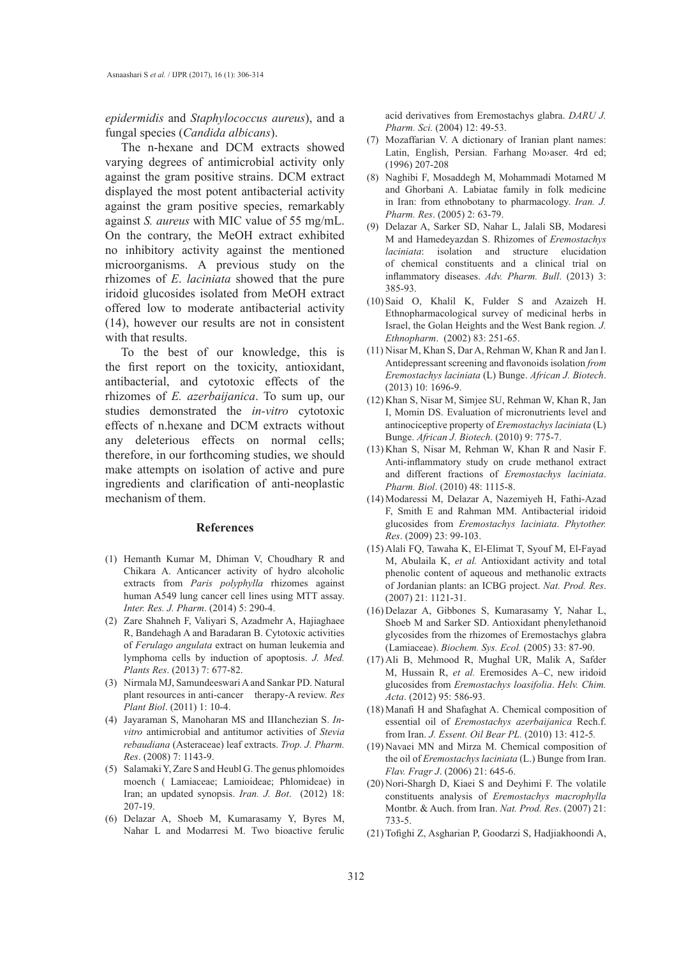*epidermidis* and *Staphylococcus aureus*), and a fungal species (*Candida albicans*).

The n-hexane and DCM extracts showed varying degrees of antimicrobial activity only against the gram positive strains. DCM extract displayed the most potent antibacterial activity against the gram positive species, remarkably against *S. aureus* with MIC value of 55 mg/mL. On the contrary, the MeOH extract exhibited no inhibitory activity against the mentioned microorganisms. A previous study on the rhizomes of *E*. *laciniata* showed that the pure iridoid glucosides isolated from MeOH extract offered low to moderate antibacterial activity (14), however our results are not in consistent with that results.

To the best of our knowledge, this is the first report on the toxicity, antioxidant, antibacterial, and cytotoxic effects of the rhizomes of *E. azerbaijanica*. To sum up, our studies demonstrated the *in-vitro* cytotoxic effects of n.hexane and DCM extracts without any deleterious effects on normal cells; therefore, in our forthcoming studies, we should make attempts on isolation of active and pure ingredients and clarification of anti-neoplastic mechanism of them.

#### **References**

- (1) Hemanth Kumar M, Dhiman V, Choudhary R and Chikara A. Anticancer activity of hydro alcoholic extracts from *Paris polyphylla* rhizomes against human A549 lung cancer cell lines using MTT assay. *Inter. Res. J. Pharm*. (2014) 5: 290-4.
- (2) Zare Shahneh F, Valiyari S, Azadmehr A, Hajiaghaee R, Bandehagh A and Baradaran B. Cytotoxic activities of *Ferulago angulata* extract on human leukemia and lymphoma cells by induction of apoptosis. *J. Med. Plants Res*. (2013) 7: 677-82.
- Nirmala MJ, Samundeeswari A and Sankar PD. Natural (3) plant resources in anti-cancer therapy-A review. *Res Plant Biol*. (2011) 1: 10-4.
- Jayaraman S, Manoharan MS and IIIanchezian S. *In-*(4) *vitro* antimicrobial and antitumor activities of *Stevia rebaudiana* (Asteraceae) leaf extracts. *Trop. J. Pharm. Res*. (2008) 7: 1143-9.
- (5) Salamaki Y, Zare S and Heubl G. The genus phlomoides moench ( Lamiaceae; Lamioideae; Phlomideae) in Iran; an updated synopsis. *Iran. J. Bot*. (2012) 18: 207-19.
- Delazar A, Shoeb M, Kumarasamy Y, Byres M, (6) Nahar L and Modarresi M. Two bioactive ferulic

acid derivatives from Eremostachys glabra. *DARU J. Pharm. Sci.* (2004) 12: 49-53.

- (7) Mozaffarian V. A dictionary of Iranian plant names: Latin, English, Persian. Farhang Mo›aser. 4rd ed; (1996) 207-208
- (8) Naghibi F, Mosaddegh M, Mohammadi Motamed M and Ghorbani A. Labiatae family in folk medicine in Iran: from ethnobotany to pharmacology. *Iran. J. Pharm. Res*. (2005) 2: 63-79.
- Delazar A, Sarker SD, Nahar L, Jalali SB, Modaresi (9) M and Hamedeyazdan S. Rhizomes of *Eremostachys laciniata*: isolation and structure elucidation of chemical constituents and a clinical trial on inflammatory diseases. *Adv. Pharm. Bull*. (2013) 3: 385-93.
- $(10)$  Said O, Khalil K, Fulder S and Azaizeh H. Ethnopharmacological survey of medicinal herbs in Israel, the Golan Heights and the West Bank region*. J. Ethnopharm*. (2002) 83: 251-65.
- (11) Nisar M, Khan S, Dar A, Rehman W, Khan R and Jan I. Antidepressant screening and flavonoids isolation *from Eremostachys laciniata* (L) Bunge. *African J. Biotech*. (2013) 10: 1696-9.
- (12) Khan S, Nisar M, Simjee SU, Rehman W, Khan R, Jan I, Momin DS. Evaluation of micronutrients level and antinociceptive property of *Eremostachys laciniata* (L) Bunge. *African J. Biotech*. (2010) 9: 775-7.
- $(13)$  Khan S, Nisar M, Rehman W, Khan R and Nasir F. Anti-inflammatory study on crude methanol extract and different fractions of *Eremostachys laciniata*. *Pharm. Biol*. (2010) 48: 1115-8.
- (14) Modaressi M, Delazar A, Nazemiyeh H, Fathi-Azad F, Smith E and Rahman MM. Antibacterial iridoid glucosides from *Eremostachys laciniata*. *Phytother. Res*. (2009) 23: 99-103.
- (15) Alali FQ, Tawaha K, El-Elimat T, Syouf M, El-Fayad M, Abulaila K, *et al.* Antioxidant activity and total phenolic content of aqueous and methanolic extracts of Jordanian plants: an ICBG project. *Nat. Prod. Res*. (2007) 21: 1121-31.
- (16) Delazar A, Gibbones S, Kumarasamy Y, Nahar L, Shoeb M and Sarker SD. Antioxidant phenylethanoid glycosides from the rhizomes of Eremostachys glabra (Lamiaceae). *Biochem. Sys. Ecol.* (2005) 33: 87-90.
- (17) Ali B, Mehmood R, Mughal UR, Malik A, Safder M, Hussain R, *et al.* Eremosides A–C, new iridoid glucosides from *Eremostachys loasifolia*. *Helv. Chim. Acta*. (2012) 95: 586-93.
- Manafi H and Shafaghat A. Chemical composition of (18) essential oil of *Eremostachys azerbaijanica* Rech.f. from Iran. *J. Essent. Oil Bear PL.* (2010) 13: 412-5*.*
- (19) Navaei MN and Mirza M. Chemical composition of the oil of *Eremostachys laciniata* (L.) Bunge from Iran. *Flav. Fragr J*. (2006) 21: 645-6.
- (20) Nori-Shargh D, Kiaei S and Deyhimi F. The volatile constituents analysis of *Eremostachys macrophylla*  Montbr. & Auch. from Iran. *Nat. Prod. Res*. (2007) 21: 733-5.
- Tofighi Z, Asgharian P, Goodarzi S, Hadjiakhoondi A, (21)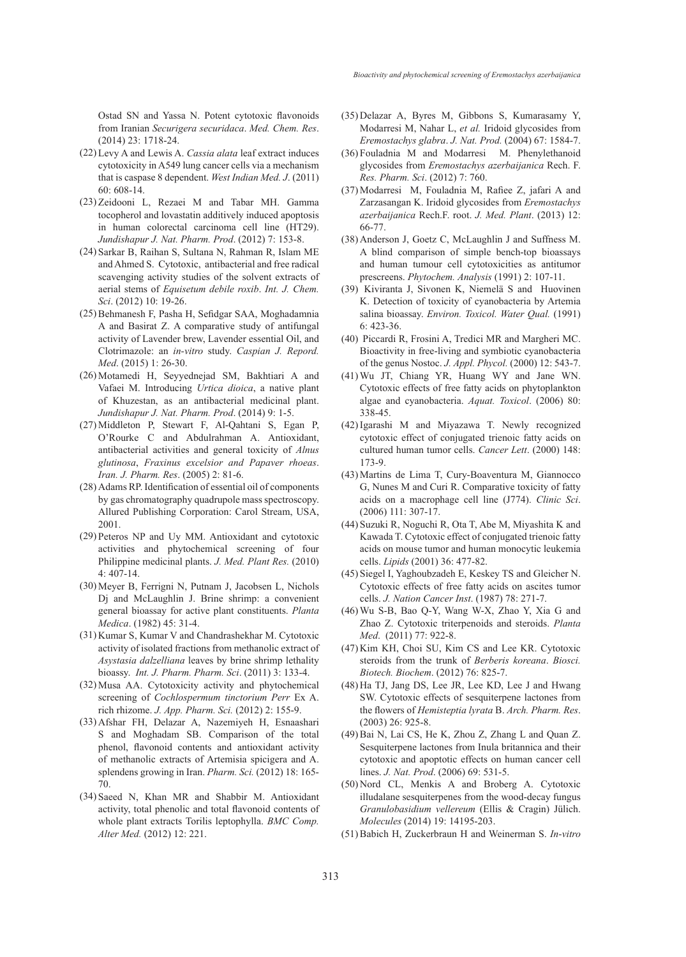Ostad SN and Yassa N. Potent cytotoxic flavonoids from Iranian *Securigera securidaca*. *Med. Chem. Res*. (2014) 23: 1718-24.

- Levy A and Lewis A. *Cassia alata* leaf extract induces (22) cytotoxicity in A549 lung cancer cells via a mechanism that is caspase 8 dependent. *West Indian Med. J*. (2011) 60: 608-14.
- (23) Zeidooni L, Rezaei M and Tabar MH. Gamma tocopherol and lovastatin additively induced apoptosis in human colorectal carcinoma cell line (HT29). *Jundishapur J. Nat. Pharm. Prod*. (2012) 7: 153-8.
- (24) Sarkar B, Raihan S, Sultana N, Rahman R, Islam ME and Ahmed S. Cytotoxic, antibacterial and free radical scavenging activity studies of the solvent extracts of aerial stems of *Equisetum debile roxib*. *Int. J. Chem. Sci*. (2012) 10: 19-26.
- (25) Behmanesh F, Pasha H, Sefidgar SAA, Moghadamnia A and Basirat Z. A comparative study of antifungal activity of Lavender brew, Lavender essential Oil, and Clotrimazole: an *in-vitro* study. *Caspian J. Repord. Med*. (2015) 1: 26-30.
- (26) Motamedi H, Seyyednejad SM, Bakhtiari A and Vafaei M. Introducing *Urtica dioica*, a native plant of Khuzestan, as an antibacterial medicinal plant. *Jundishapur J. Nat. Pharm. Prod*. (2014) 9: 1-5.
- (27) Middleton P, Stewart F, Al-Qahtani S, Egan P, O'Rourke C and Abdulrahman A. Antioxidant, antibacterial activities and general toxicity of *Alnus glutinosa*, *Fraxinus excelsior and Papaver rhoeas*. *Iran. J. Pharm. Res*. (2005) 2: 81-6.
- (28) Adams RP. Identification of essential oil of components by gas chromatography quadrupole mass spectroscopy. Allured Publishing Corporation: Carol Stream, USA, 2001.
- (29) Peteros NP and Uy MM. Antioxidant and cytotoxic activities and phytochemical screening of four Philippine medicinal plants. *J. Med. Plant Res.* (2010) 4: 407-14.
- (30) Meyer B, Ferrigni N, Putnam J, Jacobsen L, Nichols Dj and McLaughlin J. Brine shrimp: a convenient general bioassay for active plant constituents. *Planta Medica*. (1982) 45: 31-4.
- (31) Kumar S, Kumar V and Chandrashekhar M. Cytotoxic activity of isolated fractions from methanolic extract of *Asystasia dalzelliana* leaves by brine shrimp lethality bioassy. *Int. J. Pharm. Pharm. Sci*. (2011) 3: 133-4.
- (32) Musa AA. Cytotoxicity activity and phytochemical screening of *Cochlospermum tinctorium Perr* Ex A. rich rhizome. *J. App. Pharm. Sci.* (2012) 2: 155-9.
- (33) Afshar FH, Delazar A, Nazemiyeh H, Esnaashari S and Moghadam SB. Comparison of the total phenol, flavonoid contents and antioxidant activity of methanolic extracts of Artemisia spicigera and A. splendens growing in Iran. *Pharm. Sci.* (2012) 18: 165- 70.
- (34) Saeed N, Khan MR and Shabbir M. Antioxidant activity, total phenolic and total flavonoid contents of whole plant extracts Torilis leptophylla. *BMC Comp. Alter Med.* (2012) 12: 221.
- Delazar A, Byres M, Gibbons S, Kumarasamy Y, (35) Modarresi M, Nahar L, *et al.* Iridoid glycosides from *Eremostachys glabra*. *J. Nat. Prod.* (2004) 67: 1584-7.
- Fouladnia M and Modarresi M. Phenylethanoid (36) glycosides from *Eremostachys azerbaijanica* Rech. F. *Res. Pharm. Sci*. (2012) 7: 760.
- Modarresi M, Fouladnia M, Rafiee Z, jafari A and (37) Zarzasangan K. Iridoid glycosides from *Eremostachys azerbaijanica* Rech.F. root. *J. Med. Plant*. (2013) 12: 66-77.
- $(38)$  Anderson J, Goetz C, McLaughlin J and Suffness M. A blind comparison of simple bench-top bioassays and human tumour cell cytotoxicities as antitumor prescreens. *Phytochem. Analysis* (1991) 2: 107-11.
- (39) Kiviranta J, Sivonen K, Niemelä S and Huovinen K. Detection of toxicity of cyanobacteria by Artemia salina bioassay. *Environ. Toxicol. Water Qual.* (1991) 6: 423-36.
- (40) Piccardi R, Frosini A, Tredici MR and Margheri MC. Bioactivity in free-living and symbiotic cyanobacteria of the genus Nostoc. *J. Appl. Phycol.* (2000) 12: 543-7.
- Wu JT, Chiang YR, Huang WY and Jane WN. (41) Cytotoxic effects of free fatty acids on phytoplankton algae and cyanobacteria. *Aquat. Toxicol*. (2006) 80: 338-45.
- (42) Igarashi M and Miyazawa T. Newly recognized cytotoxic effect of conjugated trienoic fatty acids on cultured human tumor cells. *Cancer Lett*. (2000) 148: 173-9.
- Martins de Lima T, Cury-Boaventura M, Giannocco (43) G, Nunes M and Curi R. Comparative toxicity of fatty acids on a macrophage cell line (J774). *Clinic Sci*. (2006) 111: 307-17.
- Suzuki R, Noguchi R, Ota T, Abe M, Miyashita K and (44) Kawada T. Cytotoxic effect of conjugated trienoic fatty acids on mouse tumor and human monocytic leukemia cells. *Lipids* (2001) 36: 477-82.
- (45) Siegel I, Yaghoubzadeh E, Keskey TS and Gleicher N. Cytotoxic effects of free fatty acids on ascites tumor cells. *J. Nation Cancer Inst*. (1987) 78: 271-7.
- Wu S-B, Bao Q-Y, Wang W-X, Zhao Y, Xia G and (46) Zhao Z. Cytotoxic triterpenoids and steroids. *Planta Med*. (2011) 77: 922-8.
- (47) Kim KH, Choi SU, Kim CS and Lee KR. Cytotoxic steroids from the trunk of *Berberis koreana*. *Biosci. Biotech. Biochem*. (2012) 76: 825-7.
- (48) Ha TJ, Jang DS, Lee JR, Lee KD, Lee J and Hwang SW. Cytotoxic effects of sesquiterpene lactones from the flowers of *Hemisteptia lyrata* B. *Arch. Pharm. Res*. (2003) 26: 925-8.
- $(49)$  Bai N, Lai CS, He K, Zhou Z, Zhang L and Quan Z. Sesquiterpene lactones from Inula britannica and their cytotoxic and apoptotic effects on human cancer cell lines. *J. Nat. Prod*. (2006) 69: 531-5.
- (50) Nord CL, Menkis A and Broberg A. Cytotoxic illudalane sesquiterpenes from the wood-decay fungus *Granulobasidium vellereum* (Ellis & Cragin) Jülich. *Molecules* (2014) 19: 14195-203.
- Babich H, Zuckerbraun H and Weinerman S. *In-vitro* (51)